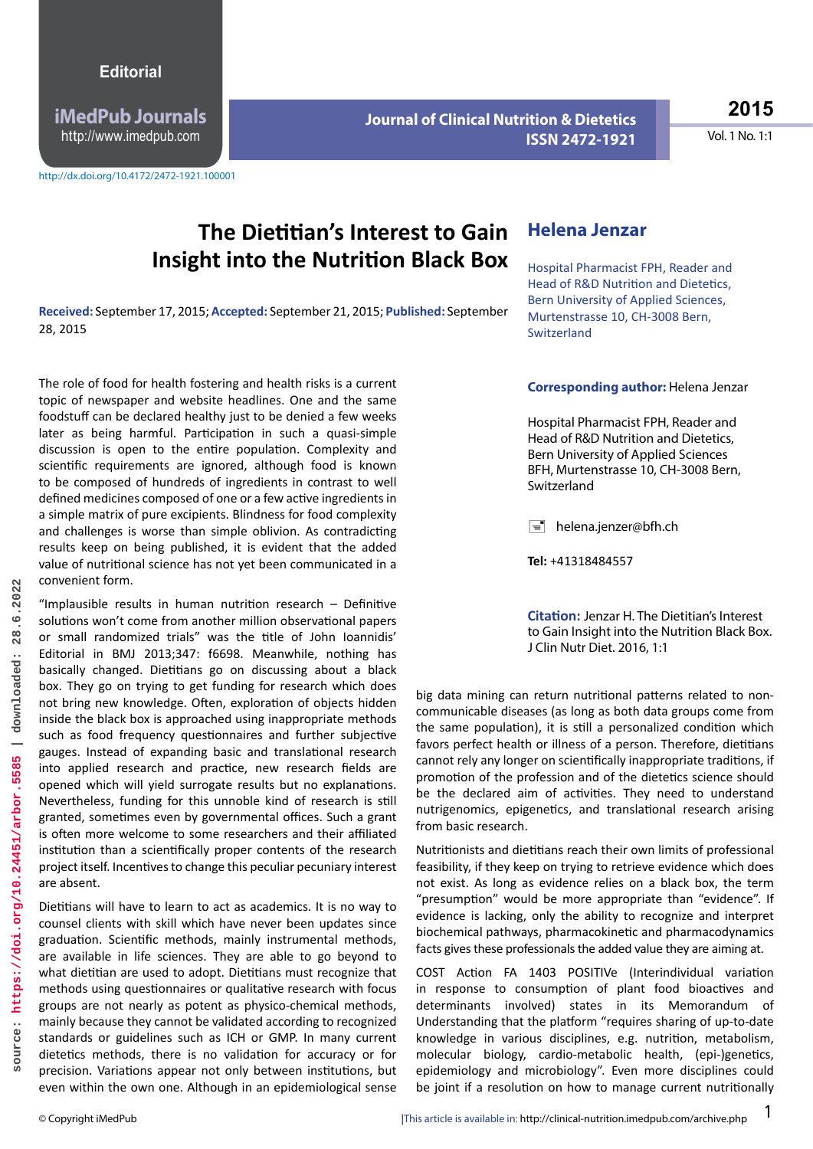**iMedPub Journals** http://www.imedpub.com

http://dx.doi.org/10.4172/2472-1921.100001

## **Journal of Clinical Nutrition & Dietetics ISSN 2472-1921**

**2015**

Vol. 1 No. 1:1

## **The Dietitian's Interest to Gain Insight into the Nutrition Black Box**

**Received:** September 17, 2015; **Accepted:** September 21, 2015; **Published:** September 28, 2015

The role of food for health fostering and health risks is a current topic of newspaper and website headlines. One and the same foodstuff can be declared healthy just to be denied a few weeks later as being harmful. Participation in such a quasi-simple discussion is open to the entire population. Complexity and scientific requirements are ignored, although food is known to be composed of hundreds of ingredients in contrast to well defined medicines composed of one or a few active ingredients in a simple matrix of pure excipients. Blindness for food complexity and challenges is worse than simple oblivion. As contradicting results keep on being published, it is evident that the added value of nutritional science has not yet been communicated in a convenient form.

"Implausible results in human nutrition research – Definitive solutions won't come from another million observational papers or small randomized trials" was the title of John Ioannidis' Editorial in BMJ 2013;347: f6698. Meanwhile, nothing has basically changed. Dietitians go on discussing about a black box. They go on trying to get funding for research which does not bring new knowledge. Often, exploration of objects hidden inside the black box is approached using inappropriate methods such as food frequency questionnaires and further subjective gauges. Instead of expanding basic and translational research into applied research and practice, new research fields are opened which will yield surrogate results but no explanations. Nevertheless, funding for this unnoble kind of research is still granted, sometimes even by governmental offices. Such a grant is often more welcome to some researchers and their affiliated institution than a scientifically proper contents of the research project itself. Incentives to change this peculiar pecuniary interest are absent.

Dietitians will have to learn to act as academics. It is no way to counsel clients with skill which have never been updates since graduation. Scientific methods, mainly instrumental methods, are available in life sciences. They are able to go beyond to what dietitian are used to adopt. Dietitians must recognize that methods using questionnaires or qualitative research with focus groups are not nearly as potent as physico-chemical methods, mainly because they cannot be validated according to recognized standards or guidelines such as ICH or GMP. In many current dietetics methods, there is no validation for accuracy or for precision. Variations appear not only between institutions, but even within the own one. Although in an epidemiological sense

## **Helena Jenzar**

Hospital Pharmacist FPH, Reader and Head of R&D Nutrition and Dietetics, Bern University of Applied Sciences, Murtenstrasse 10, CH-3008 Bern, Switzerland

## **Corresponding author:** Helena Jenzar

Hospital Pharmacist FPH, Reader and Head of R&D Nutrition and Dietetics, Bern University of Applied Sciences BFH, Murtenstrasse 10, CH-3008 Bern, **Switzerland** 

 $\equiv$  helena.jenzer@bfh.ch

**Tel:** +41318484557

**Citation:** Jenzar H. The Dietitian's Interest to Gain Insight into the Nutrition Black Box. J Clin Nutr Diet. 2016, 1:1

big data mining can return nutritional patterns related to noncommunicable diseases (as long as both data groups come from the same population), it is still a personalized condition which favors perfect health or illness of a person. Therefore, dietitians cannot rely any longer on scientifically inappropriate traditions, if promotion of the profession and of the dietetics science should be the declared aim of activities. They need to understand nutrigenomics, epigenetics, and translational research arising from basic research.

Nutritionists and dietitians reach their own limits of professional feasibility, if they keep on trying to retrieve evidence which does not exist. As long as evidence relies on a black box, the term "presumption" would be more appropriate than "evidence". If evidence is lacking, only the ability to recognize and interpret biochemical pathways, pharmacokinetic and pharmacodynamics facts gives these professionals the added value they are aiming at.

COST Action FA 1403 POSITIVe (Interindividual variation in response to consumption of plant food bioactives and determinants involved) states in its Memorandum of Understanding that the platform "requires sharing of up-to-date knowledge in various disciplines, e.g. nutrition, metabolism, molecular biology, cardio-metabolic health, (epi-)genetics, epidemiology and microbiology". Even more disciplines could be joint if a resolution on how to manage current nutritionally